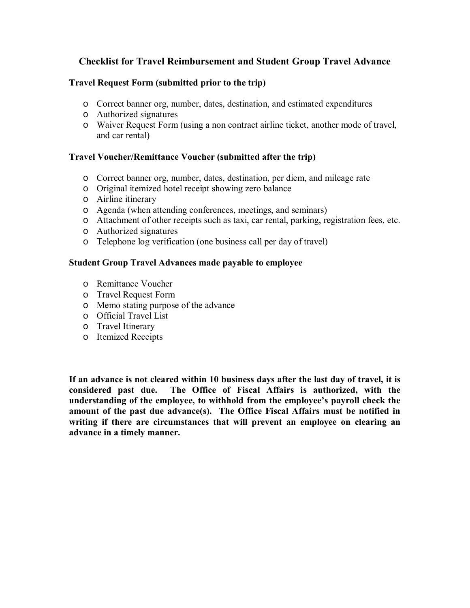# **Checklist for Travel Reimbursement and Student Group Travel Advance**

### **Travel Request Form (submitted prior to the trip)**

- o Correct banner org, number, dates, destination, and estimated expenditures
- o Authorized signatures
- o Waiver Request Form (using a non contract airline ticket, another mode of travel, and car rental)

### **Travel Voucher/Remittance Voucher (submitted after the trip)**

- o Correct banner org, number, dates, destination, per diem, and mileage rate
- o Original itemized hotel receipt showing zero balance
- o Airline itinerary
- o Agenda (when attending conferences, meetings, and seminars)
- o Attachment of other receipts such as taxi, car rental, parking, registration fees, etc.
- o Authorized signatures
- o Telephone log verification (one business call per day of travel)

### **Student Group Travel Advances made payable to employee**

- o Remittance Voucher
- o Travel Request Form
- o Memo stating purpose of the advance
- o Official Travel List
- o Travel Itinerary
- o Itemized Receipts

**If an advance is not cleared within 10 business days after the last day of travel, it is considered past due. The Office of Fiscal Affairs is authorized, with the understanding of the employee, to withhold from the employee's payroll check the amount of the past due advance(s). The Office Fiscal Affairs must be notified in writing if there are circumstances that will prevent an employee on clearing an advance in a timely manner.**